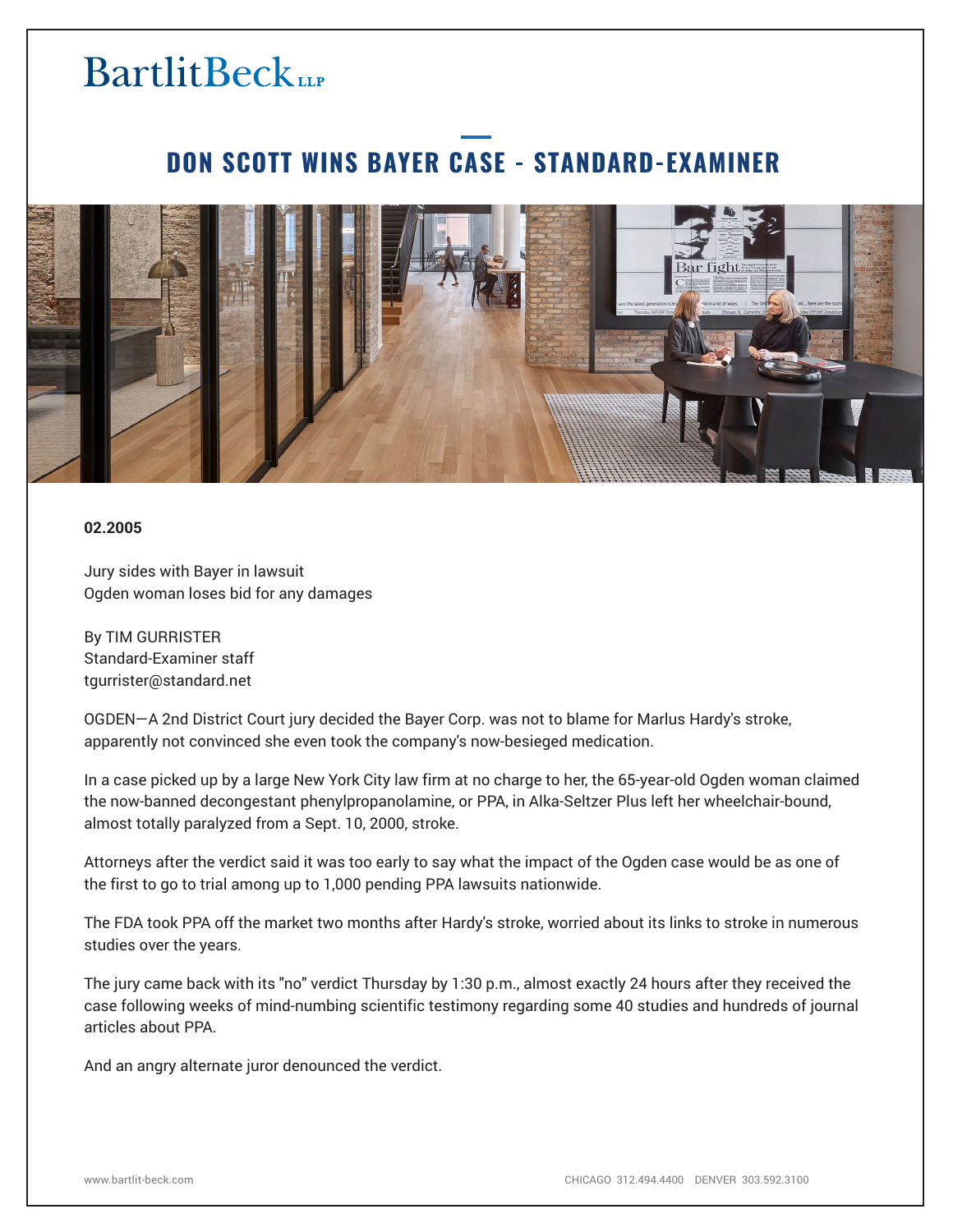### **BartlitBeck**

### **DON SCOTT WINS BAYER CASE - STANDARD-EXAMINER**



#### **02.2005**

Jury sides with Bayer in lawsuit Ogden woman loses bid for any damages

By TIM GURRISTER Standard-Examiner staff tgurrister@standard.net

OGDEN—A 2nd District Court jury decided the Bayer Corp. was not to blame for Marlus Hardy's stroke, apparently not convinced she even took the company's now-besieged medication.

In a case picked up by a large New York City law firm at no charge to her, the 65-year-old Ogden woman claimed the now-banned decongestant phenylpropanolamine, or PPA, in Alka-Seltzer Plus left her wheelchair-bound, almost totally paralyzed from a Sept. 10, 2000, stroke.

Attorneys after the verdict said it was too early to say what the impact of the Ogden case would be as one of the first to go to trial among up to 1,000 pending PPA lawsuits nationwide.

The FDA took PPA off the market two months after Hardy's stroke, worried about its links to stroke in numerous studies over the years.

The jury came back with its "no" verdict Thursday by 1:30 p.m., almost exactly 24 hours after they received the case following weeks of mind-numbing scientific testimony regarding some 40 studies and hundreds of journal articles about PPA.

And an angry alternate juror denounced the verdict.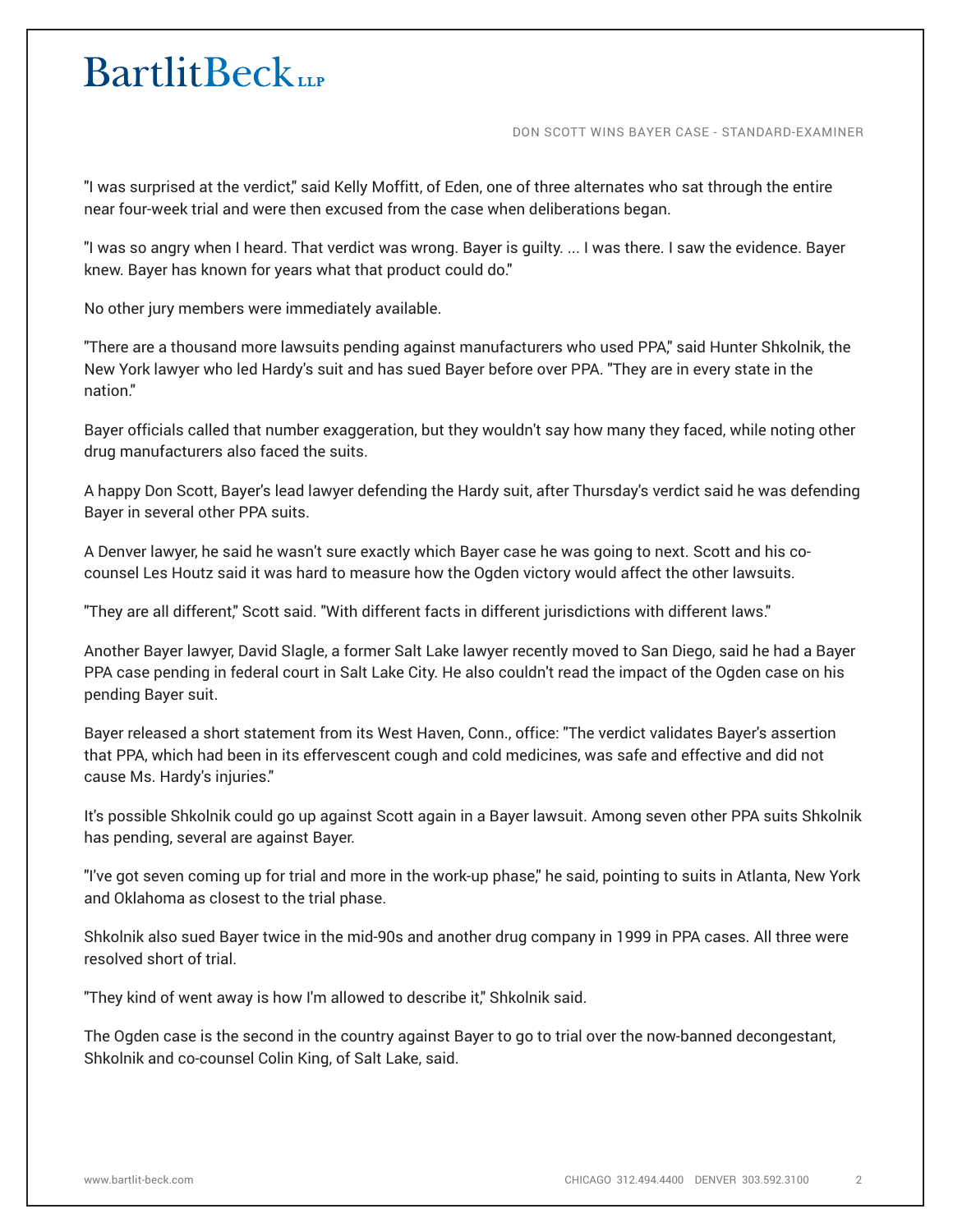# **BartlitBeck**

DON SCOTT WINS BAYER CASE - STANDARD-EXAMINER

"I was surprised at the verdict," said Kelly Moffitt, of Eden, one of three alternates who sat through the entire near four-week trial and were then excused from the case when deliberations began.

"I was so angry when I heard. That verdict was wrong. Bayer is guilty. ... I was there. I saw the evidence. Bayer knew. Bayer has known for years what that product could do."

No other jury members were immediately available.

"There are a thousand more lawsuits pending against manufacturers who used PPA," said Hunter Shkolnik, the New York lawyer who led Hardy's suit and has sued Bayer before over PPA. "They are in every state in the nation."

Bayer officials called that number exaggeration, but they wouldn't say how many they faced, while noting other drug manufacturers also faced the suits.

A happy Don Scott, Bayer's lead lawyer defending the Hardy suit, after Thursday's verdict said he was defending Bayer in several other PPA suits.

A Denver lawyer, he said he wasn't sure exactly which Bayer case he was going to next. Scott and his cocounsel Les Houtz said it was hard to measure how the Ogden victory would affect the other lawsuits.

"They are all different," Scott said. "With different facts in different jurisdictions with different laws."

Another Bayer lawyer, David Slagle, a former Salt Lake lawyer recently moved to San Diego, said he had a Bayer PPA case pending in federal court in Salt Lake City. He also couldn't read the impact of the Ogden case on his pending Bayer suit.

Bayer released a short statement from its West Haven, Conn., office: "The verdict validates Bayer's assertion that PPA, which had been in its effervescent cough and cold medicines, was safe and effective and did not cause Ms. Hardy's injuries."

It's possible Shkolnik could go up against Scott again in a Bayer lawsuit. Among seven other PPA suits Shkolnik has pending, several are against Bayer.

"I've got seven coming up for trial and more in the work-up phase," he said, pointing to suits in Atlanta, New York and Oklahoma as closest to the trial phase.

Shkolnik also sued Bayer twice in the mid-90s and another drug company in 1999 in PPA cases. All three were resolved short of trial.

"They kind of went away is how I'm allowed to describe it," Shkolnik said.

The Ogden case is the second in the country against Bayer to go to trial over the now-banned decongestant, Shkolnik and co-counsel Colin King, of Salt Lake, said.